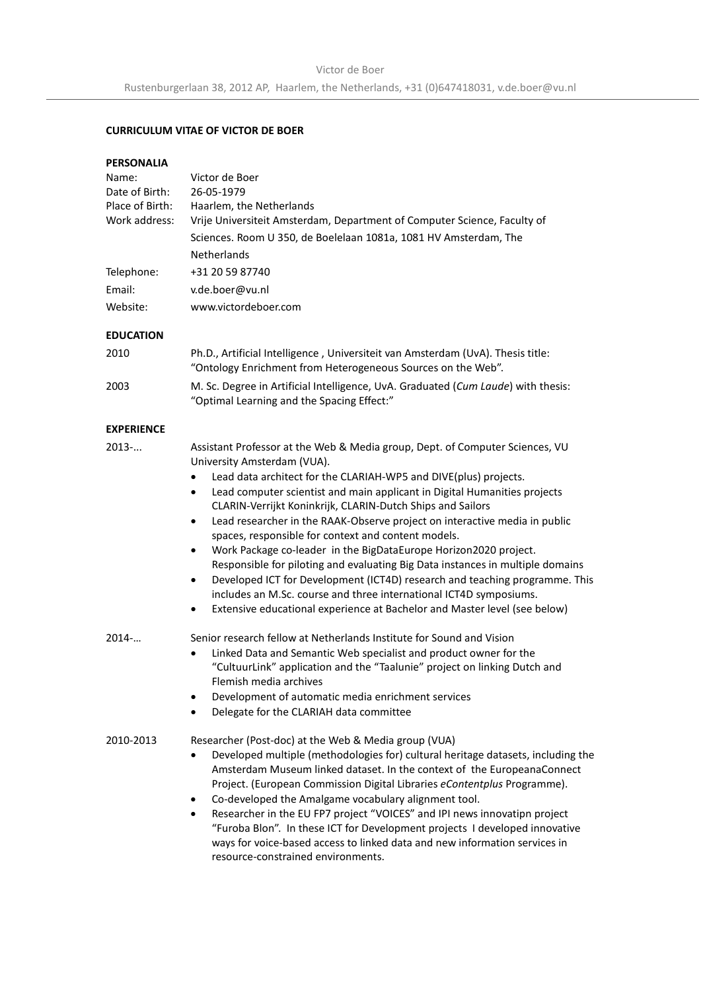# **CURRICULUM VITAE OF VICTOR DE BOER**

#### **PERSONALIA**

| Name:<br>Date of Birth: | Victor de Boer<br>26-05-1979                                                                                                                                                                                                                                                                                                                                                                                                                                                                                                                                                                                                                                                                                                             |  |
|-------------------------|------------------------------------------------------------------------------------------------------------------------------------------------------------------------------------------------------------------------------------------------------------------------------------------------------------------------------------------------------------------------------------------------------------------------------------------------------------------------------------------------------------------------------------------------------------------------------------------------------------------------------------------------------------------------------------------------------------------------------------------|--|
| Place of Birth:         | Haarlem, the Netherlands                                                                                                                                                                                                                                                                                                                                                                                                                                                                                                                                                                                                                                                                                                                 |  |
| Work address:           | Vrije Universiteit Amsterdam, Department of Computer Science, Faculty of                                                                                                                                                                                                                                                                                                                                                                                                                                                                                                                                                                                                                                                                 |  |
|                         | Sciences. Room U 350, de Boelelaan 1081a, 1081 HV Amsterdam, The                                                                                                                                                                                                                                                                                                                                                                                                                                                                                                                                                                                                                                                                         |  |
|                         | <b>Netherlands</b>                                                                                                                                                                                                                                                                                                                                                                                                                                                                                                                                                                                                                                                                                                                       |  |
| Telephone:              | +31 20 59 87740                                                                                                                                                                                                                                                                                                                                                                                                                                                                                                                                                                                                                                                                                                                          |  |
| Email:                  | v.de.boer@vu.nl                                                                                                                                                                                                                                                                                                                                                                                                                                                                                                                                                                                                                                                                                                                          |  |
| Website:                | www.victordeboer.com                                                                                                                                                                                                                                                                                                                                                                                                                                                                                                                                                                                                                                                                                                                     |  |
| <b>EDUCATION</b>        |                                                                                                                                                                                                                                                                                                                                                                                                                                                                                                                                                                                                                                                                                                                                          |  |
| 2010                    | Ph.D., Artificial Intelligence, Universiteit van Amsterdam (UvA). Thesis title:<br>"Ontology Enrichment from Heterogeneous Sources on the Web".                                                                                                                                                                                                                                                                                                                                                                                                                                                                                                                                                                                          |  |
| 2003                    | M. Sc. Degree in Artificial Intelligence, UvA. Graduated (Cum Laude) with thesis:<br>"Optimal Learning and the Spacing Effect:"                                                                                                                                                                                                                                                                                                                                                                                                                                                                                                                                                                                                          |  |
| <b>EXPERIENCE</b>       |                                                                                                                                                                                                                                                                                                                                                                                                                                                                                                                                                                                                                                                                                                                                          |  |
| 2013                    | Assistant Professor at the Web & Media group, Dept. of Computer Sciences, VU<br>University Amsterdam (VUA).<br>Lead data architect for the CLARIAH-WP5 and DIVE(plus) projects.<br>Lead computer scientist and main applicant in Digital Humanities projects<br>$\bullet$<br>CLARIN-Verrijkt Koninkrijk, CLARIN-Dutch Ships and Sailors<br>Lead researcher in the RAAK-Observe project on interactive media in public<br>$\bullet$<br>spaces, responsible for context and content models.<br>Work Package co-leader in the BigDataEurope Horizon2020 project.<br>٠<br>Responsible for piloting and evaluating Big Data instances in multiple domains<br>Developed ICT for Development (ICT4D) research and teaching programme. This<br>٠ |  |
|                         | includes an M.Sc. course and three international ICT4D symposiums.<br>Extensive educational experience at Bachelor and Master level (see below)<br>٠                                                                                                                                                                                                                                                                                                                                                                                                                                                                                                                                                                                     |  |
| $2014-$                 | Senior research fellow at Netherlands Institute for Sound and Vision<br>Linked Data and Semantic Web specialist and product owner for the<br>$\bullet$<br>"CultuurLink" application and the "Taalunie" project on linking Dutch and<br>Flemish media archives<br>Development of automatic media enrichment services<br>Delegate for the CLARIAH data committee                                                                                                                                                                                                                                                                                                                                                                           |  |
| 2010-2013               | Researcher (Post-doc) at the Web & Media group (VUA)<br>Developed multiple (methodologies for) cultural heritage datasets, including the<br>٠<br>Amsterdam Museum linked dataset. In the context of the EuropeanaConnect<br>Project. (European Commission Digital Libraries eContentplus Programme).<br>Co-developed the Amalgame vocabulary alignment tool.<br>Researcher in the EU FP7 project "VOICES" and IPI news innovatipn project<br>٠<br>"Furoba Blon". In these ICT for Development projects I developed innovative<br>ways for voice-based access to linked data and new information services in<br>resource-constrained environments.                                                                                        |  |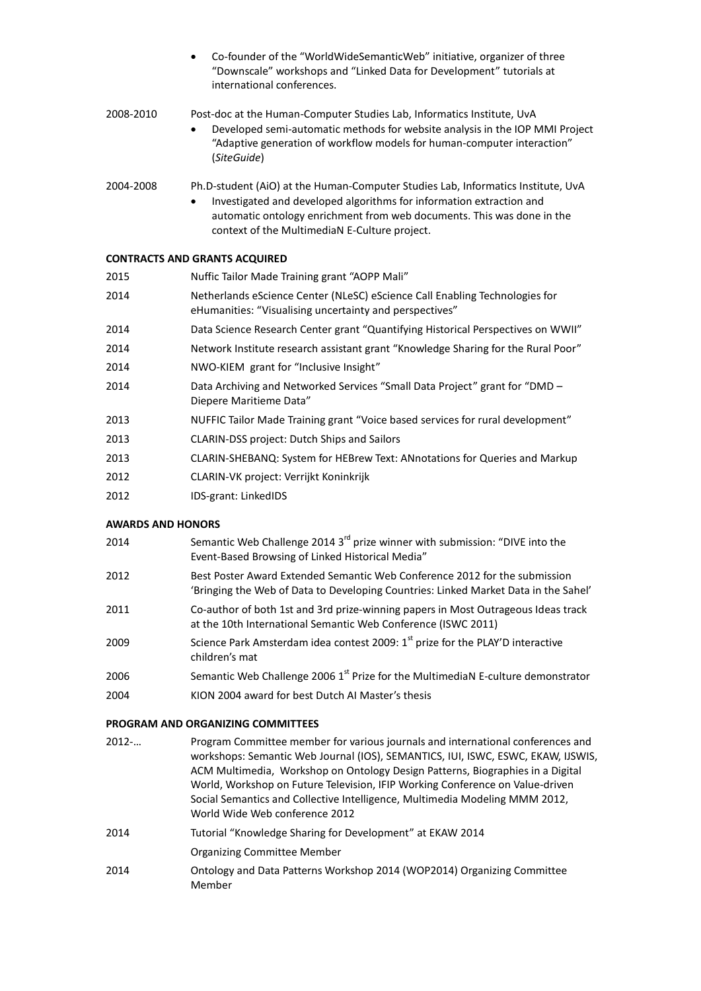|           | Co-founder of the "WorldWideSemanticWeb" initiative, organizer of three<br>$\bullet$<br>"Downscale" workshops and "Linked Data for Development" tutorials at<br>international conferences.                                                                    |
|-----------|---------------------------------------------------------------------------------------------------------------------------------------------------------------------------------------------------------------------------------------------------------------|
| 2008-2010 | Post-doc at the Human-Computer Studies Lab, Informatics Institute, UvA<br>Developed semi-automatic methods for website analysis in the IOP MMI Project<br>$\bullet$<br>"Adaptive generation of workflow models for human-computer interaction"<br>(SiteGuide) |

# 2004-2008 Ph.D-student (AiO) at the Human-Computer Studies Lab, Informatics Institute, UvA • Investigated and developed algorithms for information extraction and automatic ontology enrichment from web documents. This was done in the context of the MultimediaN E-Culture project.

#### **CONTRACTS AND GRANTS ACQUIRED**

| 2015 | Nuffic Tailor Made Training grant "AOPP Mali"                                                                                          |
|------|----------------------------------------------------------------------------------------------------------------------------------------|
| 2014 | Netherlands eScience Center (NLeSC) eScience Call Enabling Technologies for<br>eHumanities: "Visualising uncertainty and perspectives" |
| 2014 | Data Science Research Center grant "Quantifying Historical Perspectives on WWII"                                                       |
| 2014 | Network Institute research assistant grant "Knowledge Sharing for the Rural Poor"                                                      |
| 2014 | NWO-KIEM grant for "Inclusive Insight"                                                                                                 |
| 2014 | Data Archiving and Networked Services "Small Data Project" grant for "DMD -<br>Diepere Maritieme Data"                                 |
| 2013 | NUFFIC Tailor Made Training grant "Voice based services for rural development"                                                         |
| 2013 | <b>CLARIN-DSS project: Dutch Ships and Sailors</b>                                                                                     |
| 2013 | CLARIN-SHEBANQ: System for HEBrew Text: ANnotations for Queries and Markup                                                             |
| 2012 | CLARIN-VK project: Verrijkt Koninkrijk                                                                                                 |
|      |                                                                                                                                        |

2012 IDS-grant: LinkedIDS

#### **AWARDS AND HONORS**

| 2014 | Semantic Web Challenge 2014 3 <sup>rd</sup> prize winner with submission: "DIVE into the |
|------|------------------------------------------------------------------------------------------|
|      | Event-Based Browsing of Linked Historical Media"                                         |

- 2012 Best Poster Award Extended Semantic Web Conference 2012 for the submission 'Bringing the Web of Data to Developing Countries: Linked Market Data in the Sahel'
- 2011 Co-author of both 1st and 3rd prize-winning papers in Most Outrageous Ideas track at the 10th International Semantic Web Conference (ISWC 2011)
- 2009 Science Park Amsterdam idea contest 2009:  $1<sup>st</sup>$  prize for the PLAY'D interactive children's mat
- 2006 Semantic Web Challenge 2006  $1<sup>st</sup>$  Prize for the MultimediaN E-culture demonstrator
- 2004 KION 2004 award for best Dutch AI Master's thesis

#### **PROGRAM AND ORGANIZING COMMITTEES**

2012-… Program Committee member for various journals and international conferences and workshops: Semantic Web Journal (IOS), SEMANTICS, IUI, ISWC, ESWC, EKAW, IJSWIS, ACM Multimedia, Workshop on Ontology Design Patterns, Biographies in a Digital World, Workshop on Future Television, IFIP Working Conference on Value-driven Social Semantics and Collective Intelligence, Multimedia Modeling MMM 2012, World Wide Web conference 2012 2014 Tutorial "Knowledge Sharing for Development" at EKAW 2014 Organizing Committee Member 2014 Ontology and Data Patterns Workshop 2014 (WOP2014) Organizing Committee Member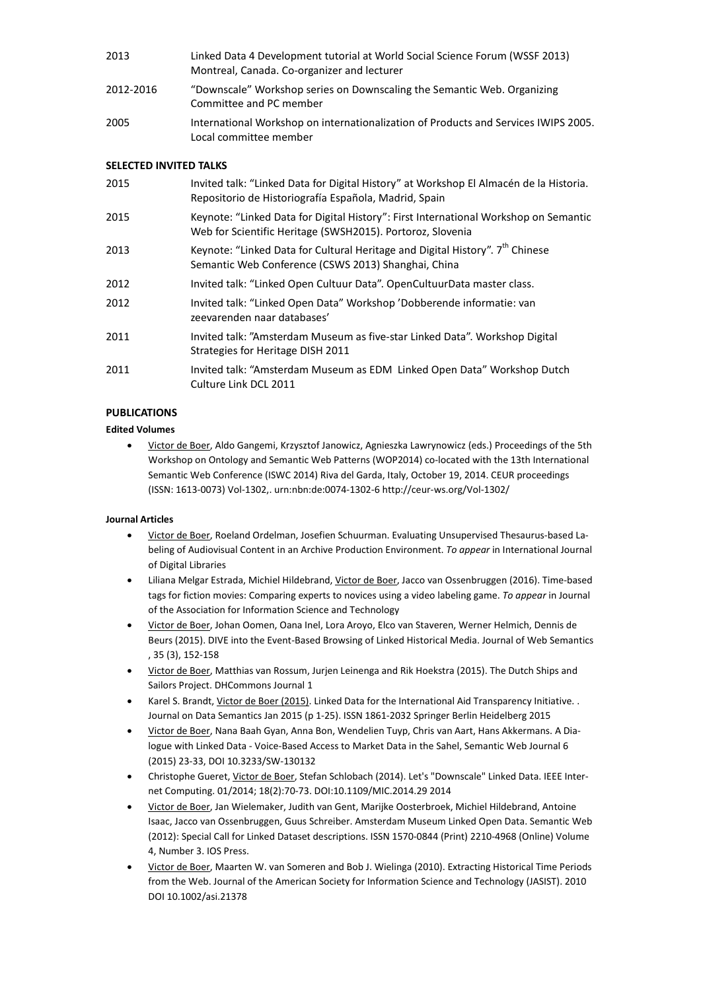| 2013      | Linked Data 4 Development tutorial at World Social Science Forum (WSSF 2013)<br>Montreal, Canada. Co-organizer and lecturer |
|-----------|-----------------------------------------------------------------------------------------------------------------------------|
| 2012-2016 | "Downscale" Workshop series on Downscaling the Semantic Web. Organizing<br>Committee and PC member                          |
| 2005      | International Workshop on internationalization of Products and Services IWIPS 2005.<br>Local committee member               |

#### **SELECTED INVITED TALKS**

| 2015 | Invited talk: "Linked Data for Digital History" at Workshop El Almacén de la Historia.<br>Repositorio de Historiografía Española, Madrid, Spain    |
|------|----------------------------------------------------------------------------------------------------------------------------------------------------|
| 2015 | Keynote: "Linked Data for Digital History": First International Workshop on Semantic<br>Web for Scientific Heritage (SWSH2015). Portoroz, Slovenia |
| 2013 | Keynote: "Linked Data for Cultural Heritage and Digital History". 7 <sup>th</sup> Chinese<br>Semantic Web Conference (CSWS 2013) Shanghai, China   |
| 2012 | Invited talk: "Linked Open Cultuur Data". OpenCultuurData master class.                                                                            |
| 2012 | Invited talk: "Linked Open Data" Workshop 'Dobberende informatie: van<br>zeevarenden naar databases'                                               |
| 2011 | Invited talk: "Amsterdam Museum as five-star Linked Data". Workshop Digital<br>Strategies for Heritage DISH 2011                                   |
| 2011 | Invited talk: "Amsterdam Museum as EDM Linked Open Data" Workshop Dutch<br>Culture Link DCL 2011                                                   |

#### **PUBLICATIONS**

## **Edited Volumes**

• Victor de Boer, Aldo Gangemi, Krzysztof Janowicz, Agnieszka Lawrynowicz (eds.) Proceedings of the 5th Workshop on Ontology and Semantic Web Patterns (WOP2014) co-located with the 13th International Semantic Web Conference (ISWC 2014) Riva del Garda, Italy, October 19, 2014. CEUR proceedings (ISSN: 1613-0073) Vol-1302,. urn:nbn:de:0074-1302-6 http://ceur-ws.org/Vol-1302/

#### **Journal Articles**

- Victor de Boer, Roeland Ordelman, Josefien Schuurman. Evaluating Unsupervised Thesaurus-based Labeling of Audiovisual Content in an Archive Production Environment. *To appear* in International Journal of Digital Libraries
- Liliana Melgar Estrada, Michiel Hildebrand, Victor de Boer, Jacco van Ossenbruggen (2016). Time-based tags for fiction movies: Comparing experts to novices using a video labeling game. *To appear* in Journal of the Association for Information Science and Technology
- Victor de Boer, Johan Oomen, Oana Inel, Lora Aroyo, Elco van Staveren, Werner Helmich, Dennis de Beurs (2015). DIVE into the Event-Based Browsing of Linked Historical Media. Journal of Web Semantics , 35 (3), 152-158
- Victor de Boer, Matthias van Rossum, Jurjen Leinenga and Rik Hoekstra (2015). The Dutch Ships and Sailors Project. DHCommons Journal 1
- Karel S. Brandt, Victor de Boer (2015). Linked Data for the International Aid Transparency Initiative. . Journal on Data Semantics Jan 2015 (p 1-25). ISSN 1861-2032 Springer Berlin Heidelberg 2015
- Victor de Boer, Nana Baah Gyan, Anna Bon, Wendelien Tuyp, Chris van Aart, Hans Akkermans. A Dialogue with Linked Data - Voice-Based Access to Market Data in the Sahel, Semantic Web Journal 6 (2015) 23-33, DOI 10.3233/SW-130132
- Christophe Gueret, Victor de Boer, Stefan Schlobach (2014). Let's "Downscale" Linked Data. IEEE Internet Computing. 01/2014; 18(2):70-73. DOI:10.1109/MIC.2014.29 2014
- Victor de Boer, Jan Wielemaker, Judith van Gent, Marijke Oosterbroek, Michiel Hildebrand, Antoine Isaac, Jacco van Ossenbruggen, Guus Schreiber. Amsterdam Museum Linked Open Data. Semantic Web (2012): Special Call for Linked Dataset descriptions. ISSN 1570-0844 (Print) 2210-4968 (Online) Volume 4, Number 3. IOS Press.
- Victor de Boer, Maarten W. van Someren and Bob J. Wielinga (2010). Extracting Historical Time Periods from the Web. Journal of the American Society for Information Science and Technology (JASIST). 2010 DOI 10.1002/asi.21378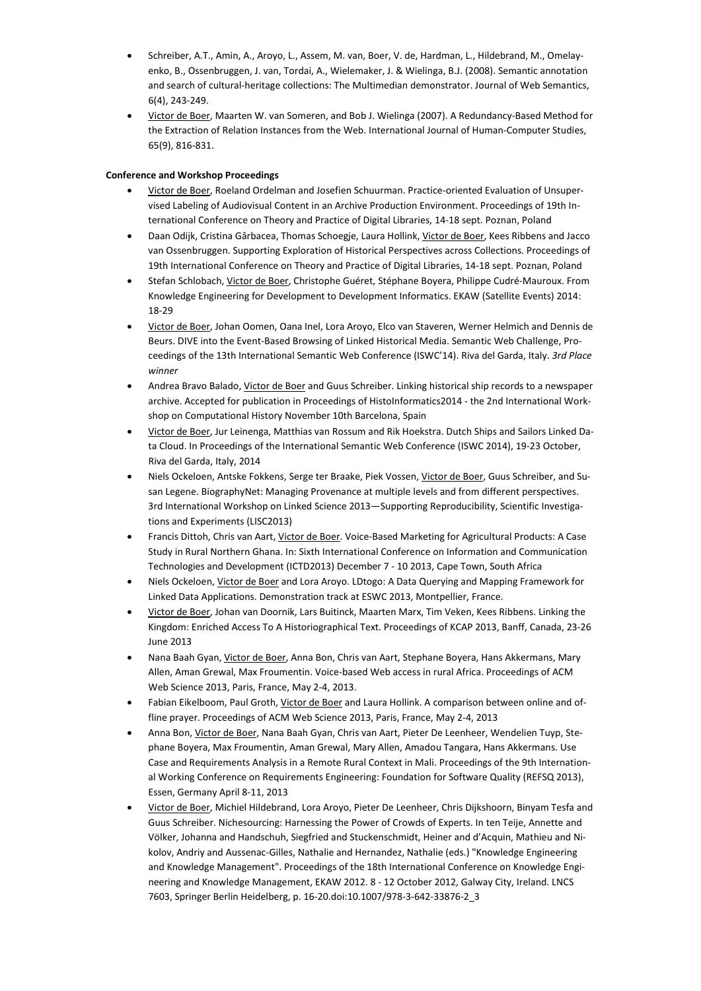- Schreiber, A.T., Amin, A., Aroyo, L., Assem, M. van, Boer, V. de, Hardman, L., Hildebrand, M., Omelayenko, B., Ossenbruggen, J. van, Tordai, A., Wielemaker, J. & Wielinga, B.J. (2008). Semantic annotation and search of cultural-heritage collections: The Multimedian demonstrator. Journal of Web Semantics, 6(4), 243-249.
- Victor de Boer, Maarten W. van Someren, and Bob J. Wielinga (2007). A Redundancy-Based Method for the Extraction of Relation Instances from the Web. International Journal of Human-Computer Studies, 65(9), 816-831.

#### **Conference and Workshop Proceedings**

- Victor de Boer, Roeland Ordelman and Josefien Schuurman. Practice-oriented Evaluation of Unsupervised Labeling of Audiovisual Content in an Archive Production Environment. Proceedings of 19th International Conference on Theory and Practice of Digital Libraries, 14-18 sept. Poznan, Poland
- Daan Odijk, Cristina Gârbacea, Thomas Schoegje, Laura Hollink, Victor de Boer, Kees Ribbens and Jacco van Ossenbruggen. Supporting Exploration of Historical Perspectives across Collections. Proceedings of 19th International Conference on Theory and Practice of Digital Libraries, 14-18 sept. Poznan, Poland
- Stefan Schlobach, Victor de Boer, Christophe Guéret, Stéphane Boyera, Philippe Cudré-Mauroux. From Knowledge Engineering for Development to Development Informatics. EKAW (Satellite Events) 2014: 18-29
- Victor de Boer, Johan Oomen, Oana Inel, Lora Aroyo, Elco van Staveren, Werner Helmich and Dennis de Beurs. DIVE into the Event-Based Browsing of Linked Historical Media. Semantic Web Challenge, Proceedings of the 13th International Semantic Web Conference (ISWC'14). Riva del Garda, Italy. *3rd Place winner*
- Andrea Bravo Balado, Victor de Boer and Guus Schreiber. Linking historical ship records to a newspaper archive. Accepted for publication in Proceedings of HistoInformatics2014 - the 2nd International Workshop on Computational History November 10th Barcelona, Spain
- Victor de Boer, Jur Leinenga, Matthias van Rossum and Rik Hoekstra. Dutch Ships and Sailors Linked Data Cloud. In Proceedings of the International Semantic Web Conference (ISWC 2014), 19-23 October, Riva del Garda, Italy, 2014
- Niels Ockeloen, Antske Fokkens, Serge ter Braake, Piek Vossen, Victor de Boer, Guus Schreiber, and Susan Legene. BiographyNet: Managing Provenance at multiple levels and from different perspectives. 3rd International Workshop on Linked Science 2013—Supporting Reproducibility, Scientific Investigations and Experiments (LISC2013)
- Francis Dittoh, Chris van Aart, Victor de Boer. Voice-Based Marketing for Agricultural Products: A Case Study in Rural Northern Ghana. In: Sixth International Conference on Information and Communication Technologies and Development (ICTD2013) December 7 - 10 2013, Cape Town, South Africa
- Niels Ockeloen, Victor de Boer and Lora Aroyo. LDtogo: A Data Querying and Mapping Framework for Linked Data Applications. Demonstration track at ESWC 2013, Montpellier, France.
- Victor de Boer, Johan van Doornik, Lars Buitinck, Maarten Marx, Tim Veken, Kees Ribbens. Linking the Kingdom: Enriched Access To A Historiographical Text. Proceedings of KCAP 2013, Banff, Canada, 23-26 June 2013
- Nana Baah Gyan, Victor de Boer, Anna Bon, Chris van Aart, Stephane Boyera, Hans Akkermans, Mary Allen, Aman Grewal, Max Froumentin. Voice-based Web access in rural Africa. Proceedings of ACM Web Science 2013, Paris, France, May 2-4, 2013.
- Fabian Eikelboom, Paul Groth, Victor de Boer and Laura Hollink. A comparison between online and offline prayer. Proceedings of ACM Web Science 2013, Paris, France, May 2-4, 2013
- Anna Bon, Victor de Boer, Nana Baah Gyan, Chris van Aart, Pieter De Leenheer, Wendelien Tuyp, Stephane Boyera, Max Froumentin, Aman Grewal, Mary Allen, Amadou Tangara, Hans Akkermans. Use Case and Requirements Analysis in a Remote Rural Context in Mali. Proceedings of the 9th International Working Conference on Requirements Engineering: Foundation for Software Quality (REFSQ 2013), Essen, Germany April 8-11, 2013
- Victor de Boer, Michiel Hildebrand, Lora Aroyo, Pieter De Leenheer, Chris Dijkshoorn, Binyam Tesfa and Guus Schreiber. Nichesourcing: Harnessing the Power of Crowds of Experts. In ten Teije, Annette and Völker, Johanna and Handschuh, Siegfried and Stuckenschmidt, Heiner and d'Acquin, Mathieu and Nikolov, Andriy and Aussenac-Gilles, Nathalie and Hernandez, Nathalie (eds.) "Knowledge Engineering and Knowledge Management". Proceedings of the 18th International Conference on Knowledge Engineering and Knowledge Management, EKAW 2012. 8 - 12 October 2012, Galway City, Ireland. LNCS 7603, Springer Berlin Heidelberg, p. 16-20.doi:10.1007/978-3-642-33876-2\_3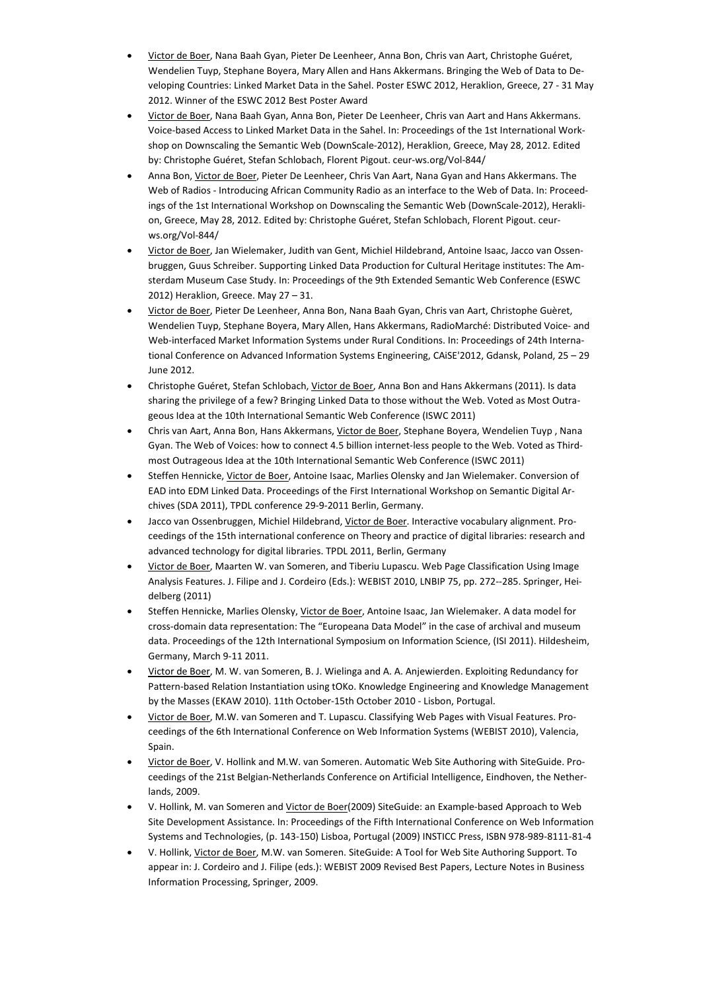- Victor de Boer, Nana Baah Gyan, Pieter De Leenheer, Anna Bon, Chris van Aart, Christophe Guéret, Wendelien Tuyp, Stephane Boyera, Mary Allen and Hans Akkermans. Bringing the Web of Data to Developing Countries: Linked Market Data in the Sahel. Poster ESWC 2012, Heraklion, Greece, 27 - 31 May 2012. Winner of the ESWC 2012 Best Poster Award
- Victor de Boer, Nana Baah Gyan, Anna Bon, Pieter De Leenheer, Chris van Aart and Hans Akkermans. Voice-based Access to Linked Market Data in the Sahel. In: Proceedings of the 1st International Workshop on Downscaling the Semantic Web (DownScale-2012), Heraklion, Greece, May 28, 2012. Edited by: Christophe Guéret, Stefan Schlobach, Florent Pigout. ceur-ws.org/Vol-844/
- Anna Bon, Victor de Boer, Pieter De Leenheer, Chris Van Aart, Nana Gyan and Hans Akkermans. The Web of Radios - Introducing African Community Radio as an interface to the Web of Data. In: Proceedings of the 1st International Workshop on Downscaling the Semantic Web (DownScale-2012), Heraklion, Greece, May 28, 2012. Edited by: Christophe Guéret, Stefan Schlobach, Florent Pigout. ceurws.org/Vol-844/
- Victor de Boer, Jan Wielemaker, Judith van Gent, Michiel Hildebrand, Antoine Isaac, Jacco van Ossenbruggen, Guus Schreiber. Supporting Linked Data Production for Cultural Heritage institutes: The Amsterdam Museum Case Study. In: Proceedings of the 9th Extended Semantic Web Conference (ESWC 2012) Heraklion, Greece. May 27 – 31.
- Victor de Boer, Pieter De Leenheer, Anna Bon, Nana Baah Gyan, Chris van Aart, Christophe Guèret, Wendelien Tuyp, Stephane Boyera, Mary Allen, Hans Akkermans, RadioMarché: Distributed Voice- and Web-interfaced Market Information Systems under Rural Conditions. In: Proceedings of 24th International Conference on Advanced Information Systems Engineering, CAiSE'2012, Gdansk, Poland, 25 – 29 June 2012.
- Christophe Guéret, Stefan Schlobach, Victor de Boer, Anna Bon and Hans Akkermans (2011). Is data sharing the privilege of a few? Bringing Linked Data to those without the Web. Voted as Most Outrageous Idea at the 10th International Semantic Web Conference (ISWC 2011)
- Chris van Aart, Anna Bon, Hans Akkermans, Victor de Boer, Stephane Boyera, Wendelien Tuyp , Nana Gyan. The Web of Voices: how to connect 4.5 billion internet-less people to the Web. Voted as Thirdmost Outrageous Idea at the 10th International Semantic Web Conference (ISWC 2011)
- Steffen Hennicke, Victor de Boer, Antoine Isaac, Marlies Olensky and Jan Wielemaker. Conversion of EAD into EDM Linked Data. Proceedings of the First International Workshop on Semantic Digital Archives (SDA 2011), TPDL conference 29-9-2011 Berlin, Germany.
- Jacco van Ossenbruggen, Michiel Hildebrand, Victor de Boer. Interactive vocabulary alignment. Proceedings of the 15th international conference on Theory and practice of digital libraries: research and advanced technology for digital libraries. TPDL 2011, Berlin, Germany
- Victor de Boer, Maarten W. van Someren, and Tiberiu Lupascu. Web Page Classification Using Image Analysis Features. J. Filipe and J. Cordeiro (Eds.): WEBIST 2010, LNBIP 75, pp. 272--285. Springer, Heidelberg (2011)
- Steffen Hennicke, Marlies Olensky, Victor de Boer, Antoine Isaac, Jan Wielemaker. A data model for cross-domain data representation: The "Europeana Data Model" in the case of archival and museum data. Proceedings of the 12th International Symposium on Information Science, (ISI 2011). Hildesheim, Germany, March 9-11 2011.
- Victor de Boer, M. W. van Someren, B. J. Wielinga and A. A. Anjewierden. Exploiting Redundancy for Pattern-based Relation Instantiation using tOKo. Knowledge Engineering and Knowledge Management by the Masses (EKAW 2010). 11th October-15th October 2010 - Lisbon, Portugal.
- Victor de Boer, M.W. van Someren and T. Lupascu. Classifying Web Pages with Visual Features. Proceedings of the 6th International Conference on Web Information Systems (WEBIST 2010), Valencia, Spain.
- Victor de Boer, V. Hollink and M.W. van Someren. Automatic Web Site Authoring with SiteGuide. Proceedings of the 21st Belgian-Netherlands Conference on Artificial Intelligence, Eindhoven, the Netherlands, 2009.
- V. Hollink, M. van Someren and Victor de Boer(2009) SiteGuide: an Example-based Approach to Web Site Development Assistance. In: Proceedings of the Fifth International Conference on Web Information Systems and Technologies, (p. 143-150) Lisboa, Portugal (2009) INSTICC Press, ISBN 978-989-8111-81-4
- V. Hollink, Victor de Boer, M.W. van Someren. SiteGuide: A Tool for Web Site Authoring Support. To appear in: J. Cordeiro and J. Filipe (eds.): WEBIST 2009 Revised Best Papers, Lecture Notes in Business Information Processing, Springer, 2009.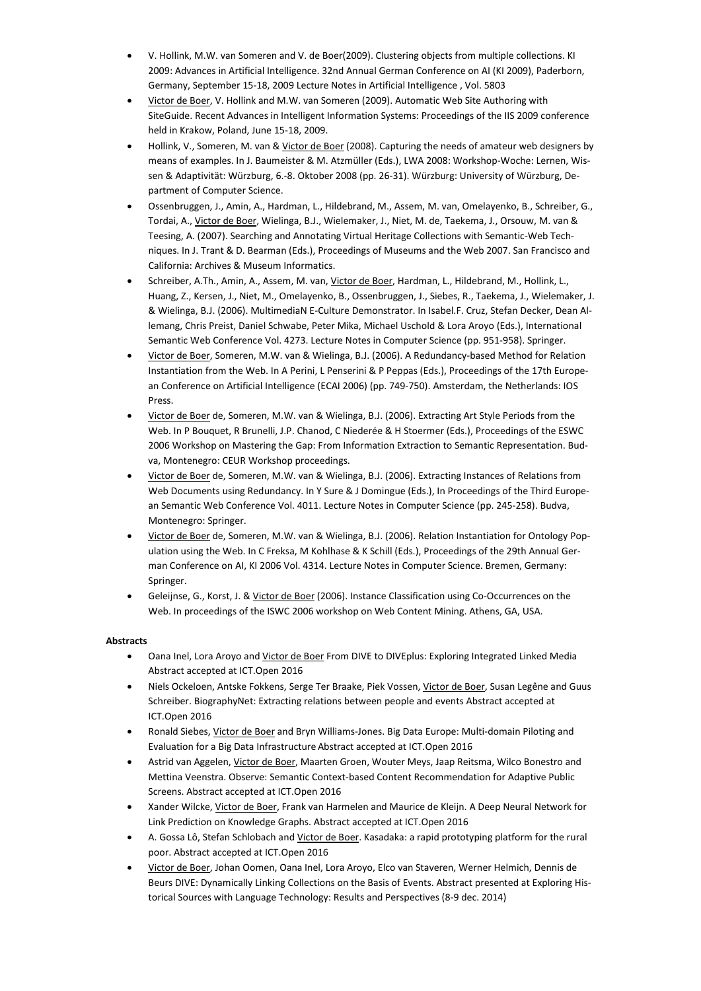- V. Hollink, M.W. van Someren and V. de Boer(2009). Clustering objects from multiple collections. KI 2009: Advances in Artificial Intelligence. 32nd Annual German Conference on AI (KI 2009), Paderborn, Germany, September 15-18, 2009 Lecture Notes in Artificial Intelligence , Vol. 5803
- Victor de Boer, V. Hollink and M.W. van Someren (2009). Automatic Web Site Authoring with SiteGuide. Recent Advances in Intelligent Information Systems: Proceedings of the IIS 2009 conference held in Krakow, Poland, June 15-18, 2009.
- Hollink, V., Someren, M. van & Victor de Boer (2008). Capturing the needs of amateur web designers by means of examples. In J. Baumeister & M. Atzmüller (Eds.), LWA 2008: Workshop-Woche: Lernen, Wissen & Adaptivität: Würzburg, 6.-8. Oktober 2008 (pp. 26-31). Würzburg: University of Würzburg, Department of Computer Science.
- Ossenbruggen, J., Amin, A., Hardman, L., Hildebrand, M., Assem, M. van, Omelayenko, B., Schreiber, G., Tordai, A., Victor de Boer, Wielinga, B.J., Wielemaker, J., Niet, M. de, Taekema, J., Orsouw, M. van & Teesing, A. (2007). Searching and Annotating Virtual Heritage Collections with Semantic-Web Techniques. In J. Trant & D. Bearman (Eds.), Proceedings of Museums and the Web 2007. San Francisco and California: Archives & Museum Informatics.
- Schreiber, A.Th., Amin, A., Assem, M. van, Victor de Boer, Hardman, L., Hildebrand, M., Hollink, L., Huang, Z., Kersen, J., Niet, M., Omelayenko, B., Ossenbruggen, J., Siebes, R., Taekema, J., Wielemaker, J. & Wielinga, B.J. (2006). MultimediaN E-Culture Demonstrator. In Isabel.F. Cruz, Stefan Decker, Dean Allemang, Chris Preist, Daniel Schwabe, Peter Mika, Michael Uschold & Lora Aroyo (Eds.), International Semantic Web Conference Vol. 4273. Lecture Notes in Computer Science (pp. 951-958). Springer.
- Victor de Boer, Someren, M.W. van & Wielinga, B.J. (2006). A Redundancy-based Method for Relation Instantiation from the Web. In A Perini, L Penserini & P Peppas (Eds.), Proceedings of the 17th European Conference on Artificial Intelligence (ECAI 2006) (pp. 749-750). Amsterdam, the Netherlands: IOS Press.
- Victor de Boer de, Someren, M.W. van & Wielinga, B.J. (2006). Extracting Art Style Periods from the Web. In P Bouquet, R Brunelli, J.P. Chanod, C Niederée & H Stoermer (Eds.), Proceedings of the ESWC 2006 Workshop on Mastering the Gap: From Information Extraction to Semantic Representation. Budva, Montenegro: CEUR Workshop proceedings.
- Victor de Boer de, Someren, M.W. van & Wielinga, B.J. (2006). Extracting Instances of Relations from Web Documents using Redundancy. In Y Sure & J Domingue (Eds.), In Proceedings of the Third European Semantic Web Conference Vol. 4011. Lecture Notes in Computer Science (pp. 245-258). Budva, Montenegro: Springer.
- Victor de Boer de, Someren, M.W. van & Wielinga, B.J. (2006). Relation Instantiation for Ontology Population using the Web. In C Freksa, M Kohlhase & K Schill (Eds.), Proceedings of the 29th Annual German Conference on AI, KI 2006 Vol. 4314. Lecture Notes in Computer Science. Bremen, Germany: Springer.
- Geleijnse, G., Korst, J. & Victor de Boer (2006). Instance Classification using Co-Occurrences on the Web. In proceedings of the ISWC 2006 workshop on Web Content Mining. Athens, GA, USA.

#### **Abstracts**

- Oana Inel, Lora Aroyo and Victor de Boer From DIVE to DIVEplus: Exploring Integrated Linked Media Abstract accepted at ICT.Open 2016
- Niels Ockeloen, Antske Fokkens, Serge Ter Braake, Piek Vossen, Victor de Boer, Susan Legêne and Guus Schreiber. BiographyNet: Extracting relations between people and events Abstract accepted at ICT.Open 2016
- Ronald Siebes, Victor de Boer and Bryn Williams-Jones. Big Data Europe: Multi-domain Piloting and Evaluation for a Big Data Infrastructure Abstract accepted at ICT.Open 2016
- Astrid van Aggelen, Victor de Boer, Maarten Groen, Wouter Meys, Jaap Reitsma, Wilco Bonestro and Mettina Veenstra. Observe: Semantic Context-based Content Recommendation for Adaptive Public Screens. Abstract accepted at ICT.Open 2016
- Xander Wilcke, Victor de Boer, Frank van Harmelen and Maurice de Kleijn. A Deep Neural Network for Link Prediction on Knowledge Graphs. Abstract accepted at ICT.Open 2016
- A. Gossa Lô, Stefan Schlobach and Victor de Boer. Kasadaka: a rapid prototyping platform for the rural poor. Abstract accepted at ICT.Open 2016
- Victor de Boer, Johan Oomen, Oana Inel, Lora Aroyo, Elco van Staveren, Werner Helmich, Dennis de Beurs DIVE: Dynamically Linking Collections on the Basis of Events. Abstract presented at Exploring Historical Sources with Language Technology: Results and Perspectives (8-9 dec. 2014)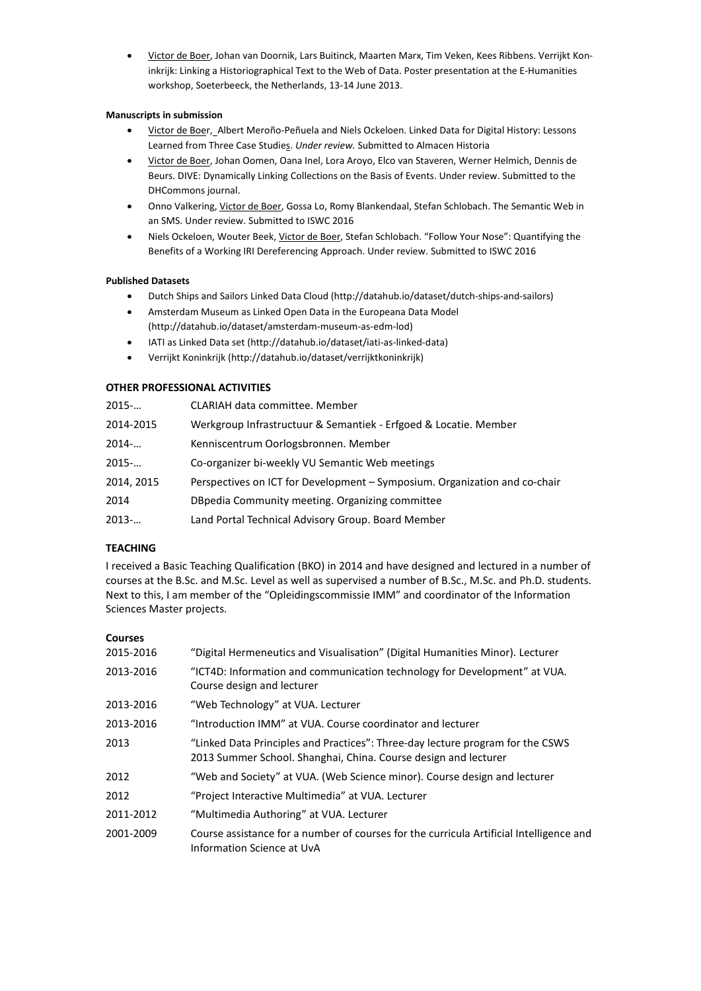• Victor de Boer, Johan van Doornik, Lars Buitinck, Maarten Marx, Tim Veken, Kees Ribbens. Verrijkt Koninkrijk: Linking a Historiographical Text to the Web of Data. Poster presentation at the E-Humanities workshop, Soeterbeeck, the Netherlands, 13-14 June 2013.

#### **Manuscripts in submission**

- Victor de Boer, Albert Meroño-Peñuela and Niels Ockeloen. Linked Data for Digital History: Lessons Learned from Three Case Studies. *Under review.* Submitted to Almacen Historia
- Victor de Boer, Johan Oomen, Oana Inel, Lora Aroyo, Elco van Staveren, Werner Helmich, Dennis de Beurs. DIVE: Dynamically Linking Collections on the Basis of Events. Under review. Submitted to the DHCommons journal.
- Onno Valkering, Victor de Boer, Gossa Lo, Romy Blankendaal, Stefan Schlobach. The Semantic Web in an SMS. Under review. Submitted to ISWC 2016
- Niels Ockeloen, Wouter Beek, Victor de Boer, Stefan Schlobach. "Follow Your Nose": Quantifying the Benefits of a Working IRI Dereferencing Approach. Under review. Submitted to ISWC 2016

## **Published Datasets**

- Dutch Ships and Sailors Linked Data Cloud (http://datahub.io/dataset/dutch-ships-and-sailors)
- Amsterdam Museum as Linked Open Data in the Europeana Data Model (http://datahub.io/dataset/amsterdam-museum-as-edm-lod)
- IATI as Linked Data set (http://datahub.io/dataset/iati-as-linked-data)
- Verrijkt Koninkrijk (http://datahub.io/dataset/verrijktkoninkrijk)

# **OTHER PROFESSIONAL ACTIVITIES**

| $2015-$             | <b>CLARIAH data committee. Member</b>                                      |
|---------------------|----------------------------------------------------------------------------|
| 2014-2015           | Werkgroup Infrastructuur & Semantiek - Erfgoed & Locatie. Member           |
| 2014                | Kenniscentrum Oorlogsbronnen. Member                                       |
| $2015$ <sup>-</sup> | Co-organizer bi-weekly VU Semantic Web meetings                            |
| 2014, 2015          | Perspectives on ICT for Development – Symposium. Organization and co-chair |
| 2014                | DBpedia Community meeting. Organizing committee                            |
| $2013-$             | Land Portal Technical Advisory Group. Board Member                         |
|                     |                                                                            |

# **TEACHING**

I received a Basic Teaching Qualification (BKO) in 2014 and have designed and lectured in a number of courses at the B.Sc. and M.Sc. Level as well as supervised a number of B.Sc., M.Sc. and Ph.D. students. Next to this, I am member of the "Opleidingscommissie IMM" and coordinator of the Information Sciences Master projects.

#### **Courses**

| 2015-2016 | "Digital Hermeneutics and Visualisation" (Digital Humanities Minor). Lecturer                                                                     |
|-----------|---------------------------------------------------------------------------------------------------------------------------------------------------|
| 2013-2016 | "ICT4D: Information and communication technology for Development" at VUA.<br>Course design and lecturer                                           |
| 2013-2016 | "Web Technology" at VUA. Lecturer                                                                                                                 |
| 2013-2016 | "Introduction IMM" at VUA. Course coordinator and lecturer                                                                                        |
| 2013      | "Linked Data Principles and Practices": Three-day lecture program for the CSWS<br>2013 Summer School. Shanghai, China. Course design and lecturer |
| 2012      | "Web and Society" at VUA. (Web Science minor). Course design and lecturer                                                                         |
| 2012      | "Project Interactive Multimedia" at VUA. Lecturer                                                                                                 |
| 2011-2012 | "Multimedia Authoring" at VUA. Lecturer                                                                                                           |
| 2001-2009 | Course assistance for a number of courses for the curricula Artificial Intelligence and<br>Information Science at UvA                             |